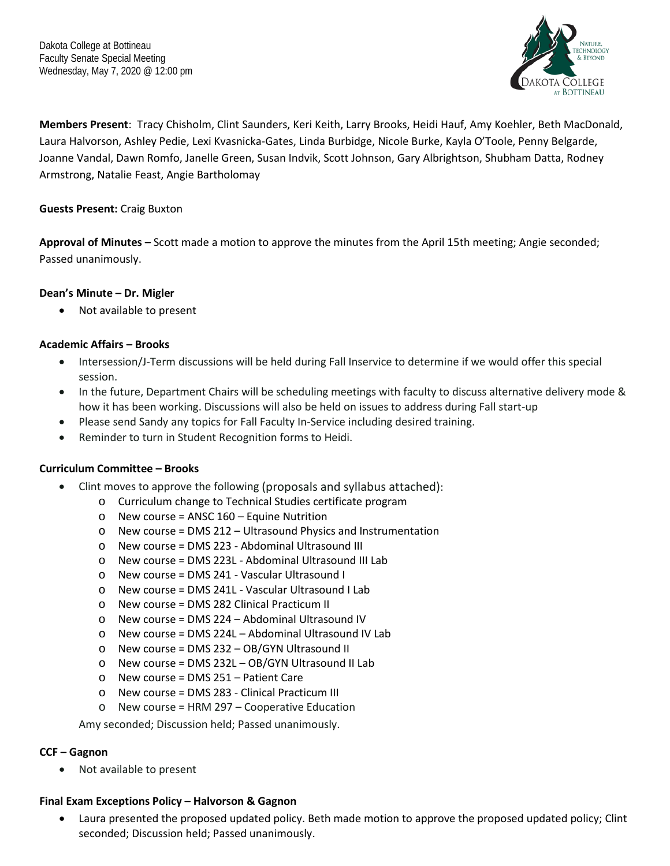

**Members Present**: Tracy Chisholm, Clint Saunders, Keri Keith, Larry Brooks, Heidi Hauf, Amy Koehler, Beth MacDonald, Laura Halvorson, Ashley Pedie, Lexi Kvasnicka-Gates, Linda Burbidge, Nicole Burke, Kayla O'Toole, Penny Belgarde, Joanne Vandal, Dawn Romfo, Janelle Green, Susan Indvik, Scott Johnson, Gary Albrightson, Shubham Datta, Rodney Armstrong, Natalie Feast, Angie Bartholomay

## **Guests Present:** Craig Buxton

**Approval of Minutes –** Scott made a motion to approve the minutes from the April 15th meeting; Angie seconded; Passed unanimously.

# **Dean's Minute – Dr. Migler**

• Not available to present

# **Academic Affairs – Brooks**

- Intersession/J-Term discussions will be held during Fall Inservice to determine if we would offer this special session.
- In the future, Department Chairs will be scheduling meetings with faculty to discuss alternative delivery mode & how it has been working. Discussions will also be held on issues to address during Fall start-up
- Please send Sandy any topics for Fall Faculty In-Service including desired training.
- Reminder to turn in Student Recognition forms to Heidi.

## **Curriculum Committee – Brooks**

- Clint moves to approve the following (proposals and syllabus attached):
	- o Curriculum change to Technical Studies certificate program
	- $\circ$  New course = ANSC 160 Equine Nutrition
	- o New course = DMS 212 Ultrasound Physics and Instrumentation
	- o New course = DMS 223 Abdominal Ultrasound III
	- o New course = DMS 223L Abdominal Ultrasound III Lab
	- o New course = DMS 241 Vascular Ultrasound I
	- o New course = DMS 241L Vascular Ultrasound I Lab
	- o New course = DMS 282 Clinical Practicum II
	- o New course = DMS 224 Abdominal Ultrasound IV
	- o New course = DMS 224L Abdominal Ultrasound IV Lab
	- o New course = DMS 232 OB/GYN Ultrasound II
	- o New course = DMS 232L OB/GYN Ultrasound II Lab
	- o New course = DMS 251 Patient Care
	- o New course = DMS 283 Clinical Practicum III
	- o New course = HRM 297 Cooperative Education

Amy seconded; Discussion held; Passed unanimously.

## **CCF – Gagnon**

Not available to present

## **Final Exam Exceptions Policy – Halvorson & Gagnon**

• Laura presented the proposed updated policy. Beth made motion to approve the proposed updated policy; Clint seconded; Discussion held; Passed unanimously.